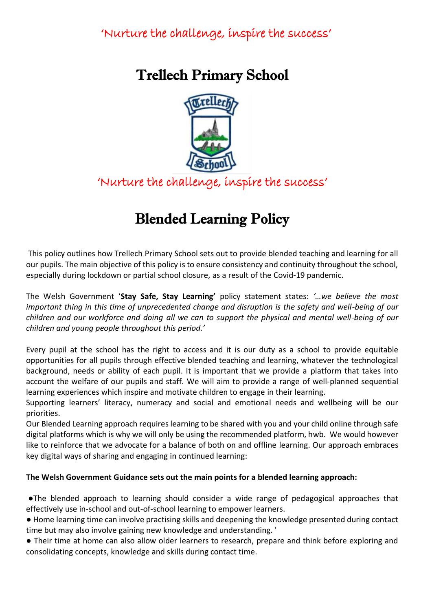# Trellech Primary School



'Nurture the challenge, inspire the success'

# Blended Learning Policy

This policy outlines how Trellech Primary School sets out to provide blended teaching and learning for all our pupils. The main objective of this policy is to ensure consistency and continuity throughout the school, especially during lockdown or partial school closure, as a result of the Covid-19 pandemic.

The Welsh Government '**Stay Safe, Stay Learning'** policy statement states: *'…we believe the most important thing in this time of unprecedented change and disruption is the safety and well-being of our children and our workforce and doing all we can to support the physical and mental well-being of our children and young people throughout this period.'*

Every pupil at the school has the right to access and it is our duty as a school to provide equitable opportunities for all pupils through effective blended teaching and learning, whatever the technological background, needs or ability of each pupil. It is important that we provide a platform that takes into account the welfare of our pupils and staff. We will aim to provide a range of well-planned sequential learning experiences which inspire and motivate children to engage in their learning.

Supporting learners' literacy, numeracy and social and emotional needs and wellbeing will be our priorities.

Our Blended Learning approach requires learning to be shared with you and your child online through safe digital platforms which is why we will only be using the recommended platform, hwb. We would however like to reinforce that we advocate for a balance of both on and offline learning. Our approach embraces key digital ways of sharing and engaging in continued learning:

#### **The Welsh Government Guidance sets out the main points for a blended learning approach:**

●The blended approach to learning should consider a wide range of pedagogical approaches that effectively use in-school and out-of-school learning to empower learners.

● Home learning time can involve practising skills and deepening the knowledge presented during contact time but may also involve gaining new knowledge and understanding. '

● Their time at home can also allow older learners to research, prepare and think before exploring and consolidating concepts, knowledge and skills during contact time.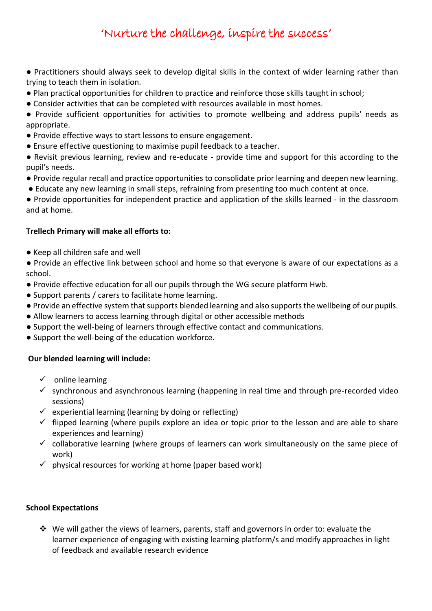- Practitioners should always seek to develop digital skills in the context of wider learning rather than trying to teach them in isolation.
- Plan practical opportunities for children to practice and reinforce those skills taught in school;
- Consider activities that can be completed with resources available in most homes.
- Provide sufficient opportunities for activities to promote wellbeing and address pupils' needs as appropriate.
- Provide effective ways to start lessons to ensure engagement.
- Ensure effective questioning to maximise pupil feedback to a teacher.
- Revisit previous learning, review and re-educate provide time and support for this according to the pupil's needs.
- Provide regular recall and practice opportunities to consolidate prior learning and deepen new learning.
- Educate any new learning in small steps, refraining from presenting too much content at once.

● Provide opportunities for independent practice and application of the skills learned - in the classroom and at home.

#### **Trellech Primary will make all efforts to:**

- Keep all children safe and well
- Provide an effective link between school and home so that everyone is aware of our expectations as a school.
- Provide effective education for all our pupils through the WG secure platform Hwb.
- Support parents / carers to facilitate home learning.
- Provide an effective system that supports blended learning and also supports the wellbeing of our pupils.
- Allow learners to access learning through digital or other accessible methods
- Support the well-being of learners through effective contact and communications.
- Support the well-being of the education workforce.

#### **Our blended learning will include:**

- $\checkmark$  online learning
- $\checkmark$  synchronous and asynchronous learning (happening in real time and through pre-recorded video sessions)
- $\checkmark$  experiential learning (learning by doing or reflecting)
- $\checkmark$  flipped learning (where pupils explore an idea or topic prior to the lesson and are able to share experiences and learning)
- $\checkmark$  collaborative learning (where groups of learners can work simultaneously on the same piece of work)
- $\checkmark$  physical resources for working at home (paper based work)

#### **School Expectations**

❖ We will gather the views of learners, parents, staff and governors in order to: evaluate the learner experience of engaging with existing learning platform/s and modify approaches in light of feedback and available research evidence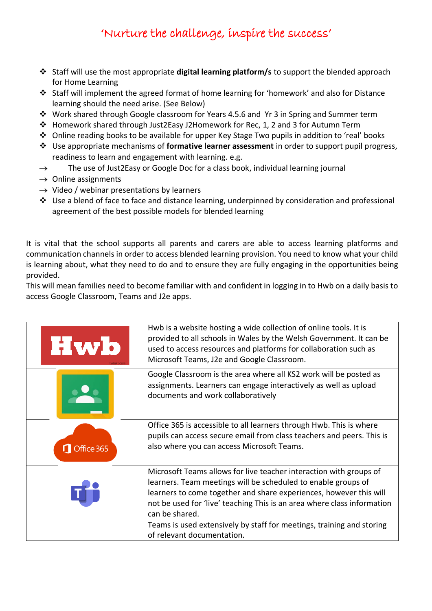- ❖ Staff will use the most appropriate **digital learning platform/s** to support the blended approach for Home Learning
- ❖ Staff will implement the agreed format of home learning for 'homework' and also for Distance learning should the need arise. (See Below)
- ❖ Work shared through Google classroom for Years 4.5.6 and Yr 3 in Spring and Summer term
- ❖ Homework shared through Just2Easy J2Homework for Rec, 1, 2 and 3 for Autumn Term
- ❖ Online reading books to be available for upper Key Stage Two pupils in addition to 'real' books
- ❖ Use appropriate mechanisms of **formative learner assessment** in order to support pupil progress, readiness to learn and engagement with learning. e.g.
- $\rightarrow$  The use of Just2Easy or Google Doc for a class book, individual learning journal
- $\rightarrow$  Online assignments
- $\rightarrow$  Video / webinar presentations by learners
- ❖ Use a blend of face to face and distance learning, underpinned by consideration and professional agreement of the best possible models for blended learning

It is vital that the school supports all parents and carers are able to access learning platforms and communication channels in order to access blended learning provision. You need to know what your child is learning about, what they need to do and to ensure they are fully engaging in the opportunities being provided.

This will mean families need to become familiar with and confident in logging in to Hwb on a daily basis to access Google Classroom, Teams and J2e apps.

| Hwb        | Hwb is a website hosting a wide collection of online tools. It is<br>provided to all schools in Wales by the Welsh Government. It can be<br>used to access resources and platforms for collaboration such as<br>Microsoft Teams, J2e and Google Classroom.                                                                                                                                                    |
|------------|---------------------------------------------------------------------------------------------------------------------------------------------------------------------------------------------------------------------------------------------------------------------------------------------------------------------------------------------------------------------------------------------------------------|
|            | Google Classroom is the area where all KS2 work will be posted as<br>assignments. Learners can engage interactively as well as upload<br>documents and work collaboratively                                                                                                                                                                                                                                   |
| Office 365 | Office 365 is accessible to all learners through Hwb. This is where<br>pupils can access secure email from class teachers and peers. This is<br>also where you can access Microsoft Teams.                                                                                                                                                                                                                    |
|            | Microsoft Teams allows for live teacher interaction with groups of<br>learners. Team meetings will be scheduled to enable groups of<br>learners to come together and share experiences, however this will<br>not be used for 'live' teaching This is an area where class information<br>can be shared.<br>Teams is used extensively by staff for meetings, training and storing<br>of relevant documentation. |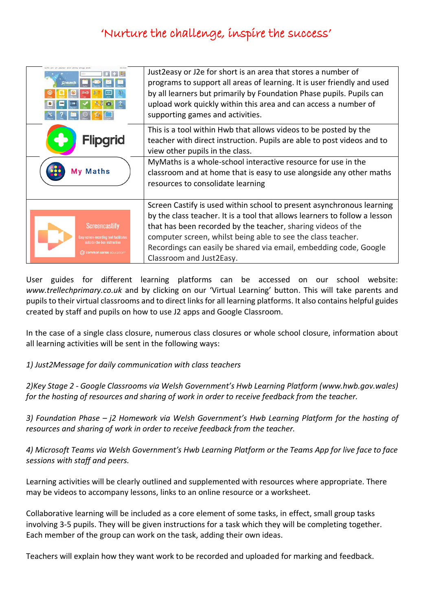| 2 launch                                                                                                                                | Just 2 easy or J2e for short is an area that stores a number of<br>programs to support all areas of learning. It is user friendly and used<br>by all learners but primarily by Foundation Phase pupils. Pupils can<br>upload work quickly within this area and can access a number of<br>supporting games and activities. |
|-----------------------------------------------------------------------------------------------------------------------------------------|---------------------------------------------------------------------------------------------------------------------------------------------------------------------------------------------------------------------------------------------------------------------------------------------------------------------------|
| <b>Flipgrid</b>                                                                                                                         | This is a tool within Hwb that allows videos to be posted by the<br>teacher with direct instruction. Pupils are able to post videos and to<br>view other pupils in the class.                                                                                                                                             |
| My Maths                                                                                                                                | MyMaths is a whole-school interactive resource for use in the<br>classroom and at home that is easy to use alongside any other maths<br>resources to consolidate learning                                                                                                                                                 |
|                                                                                                                                         | Screen Castify is used within school to present asynchronous learning                                                                                                                                                                                                                                                     |
| <b>Screencastify</b><br><b>Easy screen-recording tool facilitates</b><br>outside-the-box instruction<br><b>C</b> common sense education | by the class teacher. It is a tool that allows learners to follow a lesson<br>that has been recorded by the teacher, sharing videos of the<br>computer screen, whilst being able to see the class teacher.<br>Recordings can easily be shared via email, embedding code, Google<br>Classroom and Just2Easy.               |

User guides for different learning platforms can be accessed on our school website: *www.trellechprimary.co.uk* and by clicking on our 'Virtual Learning' button. This will take parents and pupils to their virtual classrooms and to direct links for all learning platforms. It also contains helpful guides created by staff and pupils on how to use J2 apps and Google Classroom.

In the case of a single class closure, numerous class closures or whole school closure, information about all learning activities will be sent in the following ways:

*1) Just2Message for daily communication with class teachers* 

*2)Key Stage 2 - Google Classrooms via Welsh Government's Hwb Learning Platform (www.hwb.gov.wales) for the hosting of resources and sharing of work in order to receive feedback from the teacher.*

*3) Foundation Phase – j2 Homework via Welsh Government's Hwb Learning Platform for the hosting of resources and sharing of work in order to receive feedback from the teacher.*

*4) Microsoft Teams via Welsh Government's Hwb Learning Platform or the Teams App for live face to face sessions with staff and peers.*

Learning activities will be clearly outlined and supplemented with resources where appropriate. There may be videos to accompany lessons, links to an online resource or a worksheet.

Collaborative learning will be included as a core element of some tasks, in effect, small group tasks involving 3-5 pupils. They will be given instructions for a task which they will be completing together. Each member of the group can work on the task, adding their own ideas.

Teachers will explain how they want work to be recorded and uploaded for marking and feedback.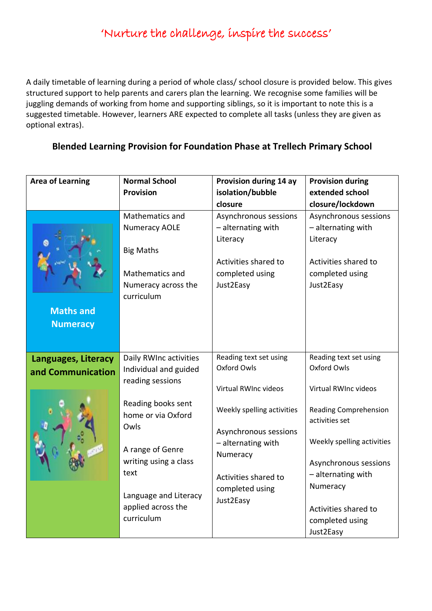A daily timetable of learning during a period of whole class/ school closure is provided below. This gives structured support to help parents and carers plan the learning. We recognise some families will be juggling demands of working from home and supporting siblings, so it is important to note this is a suggested timetable. However, learners ARE expected to complete all tasks (unless they are given as optional extras).

#### **Blended Learning Provision for Foundation Phase at Trellech Primary School**

| <b>Area of Learning</b> | <b>Normal School</b><br><b>Provision</b> | Provision during 14 ay<br>isolation/bubble | <b>Provision during</b><br>extended school |
|-------------------------|------------------------------------------|--------------------------------------------|--------------------------------------------|
|                         |                                          | closure                                    | closure/lockdown                           |
|                         | Mathematics and                          | Asynchronous sessions                      | Asynchronous sessions                      |
|                         | <b>Numeracy AOLE</b>                     | - alternating with                         | - alternating with                         |
|                         |                                          | Literacy                                   | Literacy                                   |
|                         | <b>Big Maths</b>                         |                                            |                                            |
|                         |                                          | Activities shared to                       | Activities shared to                       |
|                         | Mathematics and                          | completed using                            | completed using                            |
|                         | Numeracy across the                      | Just2Easy                                  | Just2Easy                                  |
|                         | curriculum                               |                                            |                                            |
| <b>Maths and</b>        |                                          |                                            |                                            |
| <b>Numeracy</b>         |                                          |                                            |                                            |
|                         |                                          |                                            |                                            |
|                         |                                          |                                            |                                            |
| Languages, Literacy     | Daily RWInc activities                   | Reading text set using                     | Reading text set using                     |
| and Communication       | Individual and guided                    | <b>Oxford Owls</b>                         | Oxford Owls                                |
|                         | reading sessions                         | Virtual RWInc videos                       | Virtual RWInc videos                       |
|                         |                                          |                                            |                                            |
|                         | Reading books sent                       | Weekly spelling activities                 | <b>Reading Comprehension</b>               |
|                         | home or via Oxford                       |                                            | activities set                             |
|                         | Owls                                     | Asynchronous sessions                      |                                            |
|                         | A range of Genre                         | - alternating with                         | Weekly spelling activities                 |
|                         | writing using a class                    | Numeracy                                   |                                            |
|                         | text                                     |                                            | Asynchronous sessions                      |
|                         |                                          | Activities shared to                       | - alternating with                         |
|                         | Language and Literacy                    | completed using                            | Numeracy                                   |
|                         | applied across the                       | Just2Easy                                  | Activities shared to                       |
|                         | curriculum                               |                                            | completed using                            |
|                         |                                          |                                            | Just2Easy                                  |
|                         |                                          |                                            |                                            |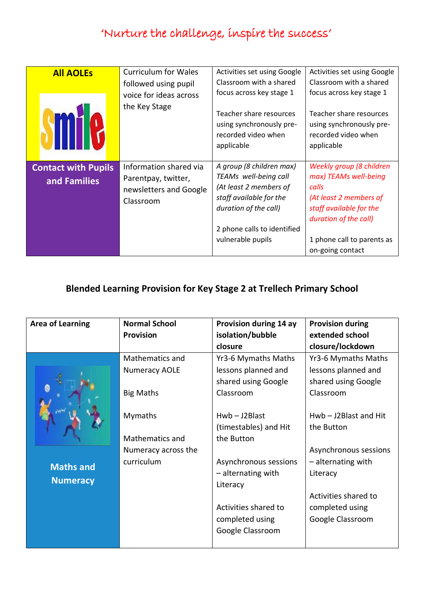| <b>All AOLEs</b>                           | <b>Curriculum for Wales</b><br>followed using pupil<br>voice for ideas across<br>the Key Stage | Activities set using Google<br>Classroom with a shared<br>focus across key stage 1<br>Teacher share resources<br>using synchronously pre-<br>recorded video when<br>applicable      | Activities set using Google<br>Classroom with a shared<br>focus across key stage 1<br>Teacher share resources<br>using synchronously pre-<br>recorded video when<br>applicable             |
|--------------------------------------------|------------------------------------------------------------------------------------------------|-------------------------------------------------------------------------------------------------------------------------------------------------------------------------------------|--------------------------------------------------------------------------------------------------------------------------------------------------------------------------------------------|
| <b>Contact with Pupils</b><br>and Families | Information shared via<br>Parentpay, twitter,<br>newsletters and Google<br>Classroom           | A group (8 children max)<br>TEAMs well-being call<br>(At least 2 members of<br>staff available for the<br>duration of the call)<br>2 phone calls to identified<br>vulnerable pupils | Weekly group (8 children<br>max) TEAMs well-being<br>calls<br>(At least 2 members of<br>staff available for the<br>duration of the call)<br>1 phone call to parents as<br>on-going contact |

#### **Blended Learning Provision for Key Stage 2 at Trellech Primary School**

| <b>Area of Learning</b> | <b>Normal School</b> | Provision during 14 ay | <b>Provision during</b> |
|-------------------------|----------------------|------------------------|-------------------------|
|                         | <b>Provision</b>     | isolation/bubble       | extended school         |
|                         |                      | closure                | closure/lockdown        |
|                         | Mathematics and      | Yr3-6 Mymaths Maths    | Yr3-6 Mymaths Maths     |
|                         | <b>Numeracy AOLE</b> | lessons planned and    | lessons planned and     |
|                         |                      | shared using Google    | shared using Google     |
|                         | <b>Big Maths</b>     | Classroom              | Classroom               |
|                         |                      |                        |                         |
|                         | <b>Mymaths</b>       | $Hwb - J2Blast$        | $Hwb - J2Blast$ and Hit |
|                         |                      | (timestables) and Hit  | the Button              |
|                         | Mathematics and      | the Button             |                         |
|                         | Numeracy across the  |                        | Asynchronous sessions   |
| <b>Maths and</b>        | curriculum           | Asynchronous sessions  | - alternating with      |
|                         |                      | - alternating with     | Literacy                |
| <b>Numeracy</b>         |                      | Literacy               |                         |
|                         |                      |                        | Activities shared to    |
|                         |                      | Activities shared to   | completed using         |
|                         |                      | completed using        | Google Classroom        |
|                         |                      | Google Classroom       |                         |
|                         |                      |                        |                         |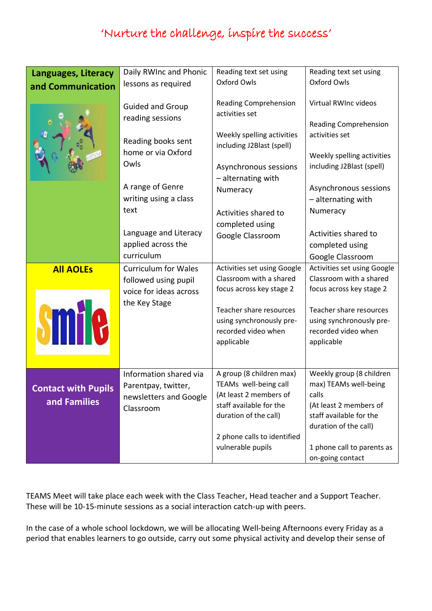| <b>Languages, Literacy</b> | Daily RWInc and Phonic                                            | Reading text set using                                                                             | Reading text set using                                                 |
|----------------------------|-------------------------------------------------------------------|----------------------------------------------------------------------------------------------------|------------------------------------------------------------------------|
| and Communication          | lessons as required                                               | <b>Oxford Owls</b>                                                                                 | Oxford Owls                                                            |
|                            | <b>Guided and Group</b><br>reading sessions<br>Reading books sent | Reading Comprehension<br>activities set<br>Weekly spelling activities<br>including J2Blast (spell) | Virtual RWInc videos<br><b>Reading Comprehension</b><br>activities set |
|                            | home or via Oxford                                                |                                                                                                    | Weekly spelling activities                                             |
|                            | Owls                                                              | Asynchronous sessions                                                                              | including J2Blast (spell)                                              |
|                            |                                                                   | - alternating with                                                                                 |                                                                        |
|                            | A range of Genre                                                  | Numeracy                                                                                           | Asynchronous sessions                                                  |
|                            | writing using a class                                             |                                                                                                    | - alternating with                                                     |
|                            | text                                                              | Activities shared to                                                                               | Numeracy                                                               |
|                            |                                                                   | completed using                                                                                    |                                                                        |
|                            | Language and Literacy                                             | Google Classroom                                                                                   | Activities shared to                                                   |
|                            | applied across the                                                |                                                                                                    | completed using                                                        |
|                            | curriculum                                                        |                                                                                                    | Google Classroom                                                       |
| <b>All AOLEs</b>           | <b>Curriculum for Wales</b>                                       | Activities set using Google                                                                        | Activities set using Google                                            |
|                            | followed using pupil                                              | Classroom with a shared                                                                            | Classroom with a shared                                                |
|                            | voice for ideas across                                            | focus across key stage 2                                                                           | focus across key stage 2                                               |
|                            | the Key Stage                                                     | Teacher share resources                                                                            | Teacher share resources                                                |
|                            |                                                                   |                                                                                                    |                                                                        |
|                            |                                                                   | using synchronously pre-                                                                           | using synchronously pre-                                               |
|                            |                                                                   | recorded video when                                                                                | recorded video when                                                    |
| VM                         |                                                                   | applicable                                                                                         | applicable                                                             |
|                            |                                                                   |                                                                                                    |                                                                        |
|                            | Information shared via                                            | A group (8 children max)                                                                           | Weekly group (8 children                                               |
|                            | Parentpay, twitter,                                               | TEAMs well-being call                                                                              | max) TEAMs well-being                                                  |
| <b>Contact with Pupils</b> | newsletters and Google                                            | (At least 2 members of                                                                             | calls                                                                  |
| and Families               | Classroom                                                         | staff available for the                                                                            | (At least 2 members of                                                 |
|                            |                                                                   | duration of the call)                                                                              | staff available for the                                                |
|                            |                                                                   |                                                                                                    | duration of the call)                                                  |
|                            |                                                                   | 2 phone calls to identified                                                                        |                                                                        |
|                            |                                                                   | vulnerable pupils                                                                                  | 1 phone call to parents as<br>on-going contact                         |

TEAMS Meet will take place each week with the Class Teacher, Head teacher and a Support Teacher. These will be 10-15-minute sessions as a social interaction catch-up with peers.

In the case of a whole school lockdown, we will be allocating Well-being Afternoons every Friday as a period that enables learners to go outside, carry out some physical activity and develop their sense of